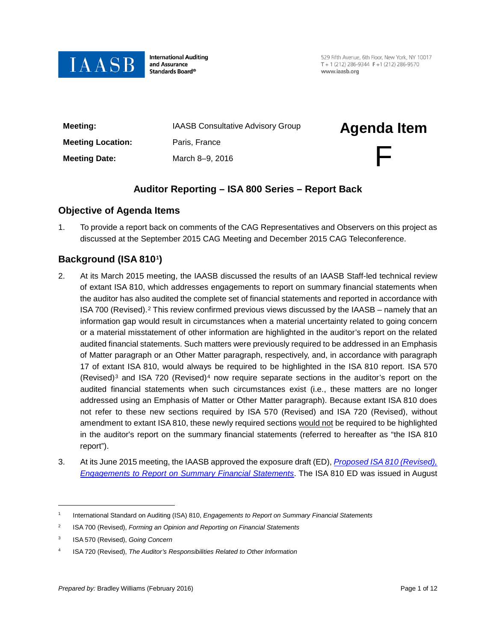

**International Auditing** and Assurance Standards Board®

529 Fifth Avenue, 6th Floor, New York, NY 10017 T + 1 (212) 286-9344  $F$  +1 (212) 286-9570 www.jaasb.org

| Meeting:                 | <b>IAASB Consultative Advisory Group</b> | <b>Agenda Item</b> |
|--------------------------|------------------------------------------|--------------------|
| <b>Meeting Location:</b> | Paris, France                            |                    |
| <b>Meeting Date:</b>     | March 8-9, 2016                          | F                  |

# **Auditor Reporting – ISA 800 Series – Report Back**

### **Objective of Agenda Items**

1. To provide a report back on comments of the CAG Representatives and Observers on this project as discussed at the September 2015 CAG Meeting and December 2015 CAG Teleconference.

# **Background (ISA 810[1](#page-0-0))**

- 2. At its March 2015 meeting, the IAASB discussed the results of an IAASB Staff-led technical review of extant ISA 810, which addresses engagements to report on summary financial statements when the auditor has also audited the complete set of financial statements and reported in accordance with ISA 700 (Revised).[2](#page-0-1) This review confirmed previous views discussed by the IAASB – namely that an information gap would result in circumstances when a material uncertainty related to going concern or a material misstatement of other information are highlighted in the auditor's report on the related audited financial statements. Such matters were previously required to be addressed in an Emphasis of Matter paragraph or an Other Matter paragraph, respectively, and, in accordance with paragraph 17 of extant ISA 810, would always be required to be highlighted in the ISA 810 report. ISA 570 (Revised)<sup>[3](#page-0-2)</sup> and ISA 720 (Revised)<sup>[4](#page-0-3)</sup> now require separate sections in the auditor's report on the audited financial statements when such circumstances exist (i.e., these matters are no longer addressed using an Emphasis of Matter or Other Matter paragraph). Because extant ISA 810 does not refer to these new sections required by ISA 570 (Revised) and ISA 720 (Revised), without amendment to extant ISA 810, these newly required sections would not be required to be highlighted in the auditor's report on the summary financial statements (referred to hereafter as "the ISA 810 report").
- 3. At its June 2015 meeting, the IAASB approved the exposure draft (ED), *[Proposed ISA 810 \(Revised\),](https://www.ifac.org/publications-resources/proposed-international-standard-auditing-isa-810-revised)  [Engagements to Report on Summary Financial Statements](https://www.ifac.org/publications-resources/proposed-international-standard-auditing-isa-810-revised)*. The ISA 810 ED was issued in August

<span id="page-0-0"></span><sup>1</sup> International Standard on Auditing (ISA) 810, *Engagements to Report on Summary Financial Statements*

<span id="page-0-1"></span><sup>2</sup> ISA 700 (Revised), *Forming an Opinion and Reporting on Financial Statements* 

<span id="page-0-2"></span><sup>3</sup> ISA 570 (Revised), *Going Concern*

<span id="page-0-3"></span><sup>4</sup> ISA 720 (Revised), *The Auditor's Responsibilities Related to Other Information*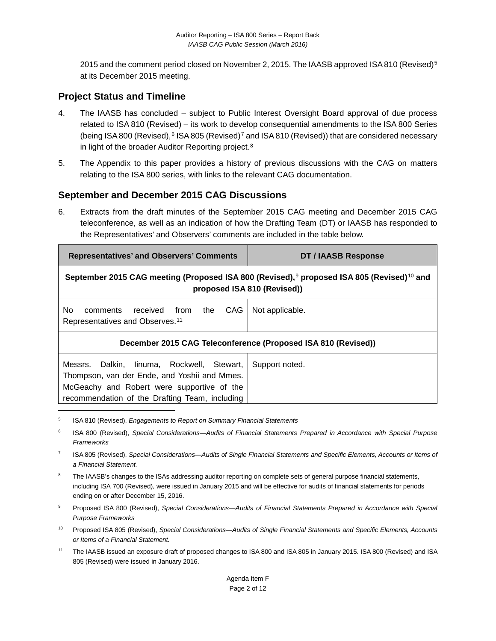201[5](#page-1-0) and the comment period closed on November 2, 2015. The IAASB approved ISA 810 (Revised)<sup>5</sup> at its December 2015 meeting.

## **Project Status and Timeline**

- 4. The IAASB has concluded subject to Public Interest Oversight Board approval of due process related to ISA 810 (Revised) – its work to develop consequential amendments to the ISA 800 Series (being ISA 800 (Revised),  $6$  ISA 805 (Revised)<sup>[7](#page-1-2)</sup> and ISA 810 (Revised)) that are considered necessary in light of the broader Auditor Reporting project.<sup>[8](#page-1-3)</sup>
- 5. The Appendix to this paper provides a history of previous discussions with the CAG on matters relating to the ISA 800 series, with links to the relevant CAG documentation.

## **September and December 2015 CAG Discussions**

6. Extracts from the draft minutes of the September 2015 CAG meeting and December 2015 CAG teleconference, as well as an indication of how the Drafting Team (DT) or IAASB has responded to the Representatives' and Observers' comments are included in the table below.

| <b>Representatives' and Observers' Comments</b>                                                                                                                                            | DT / IAASB Response |  |
|--------------------------------------------------------------------------------------------------------------------------------------------------------------------------------------------|---------------------|--|
| September 2015 CAG meeting (Proposed ISA 800 (Revised), $9$ proposed ISA 805 (Revised) <sup>10</sup> and<br>proposed ISA 810 (Revised))                                                    |                     |  |
| No.<br>received from the<br>CAG<br>comments<br>Representatives and Observes. <sup>11</sup>                                                                                                 | Not applicable.     |  |
| December 2015 CAG Teleconference (Proposed ISA 810 (Revised))                                                                                                                              |                     |  |
| Messrs. Dalkin, linuma, Rockwell, Stewart,<br>Thompson, van der Ende, and Yoshii and Mmes.<br>McGeachy and Robert were supportive of the<br>recommendation of the Drafting Team, including | Support noted.      |  |

<span id="page-1-0"></span><sup>5</sup> ISA 810 (Revised), *Engagements to Report on Summary Financial Statements*

- <span id="page-1-1"></span><sup>6</sup> ISA 800 (Revised), *Special Considerations—Audits of Financial Statements Prepared in Accordance with Special Purpose Frameworks*
- <span id="page-1-2"></span><sup>7</sup> ISA 805 (Revised), *Special Considerations—Audits of Single Financial Statements and Specific Elements, Accounts or Items of a Financial Statement.*
- <span id="page-1-3"></span>The IAASB's changes to the ISAs addressing auditor reporting on complete sets of general purpose financial statements, including ISA 700 (Revised), were issued in January 2015 and will be effective for audits of financial statements for periods ending on or after December 15, 2016.
- <span id="page-1-4"></span><sup>9</sup> Proposed ISA 800 (Revised), *Special Considerations—Audits of Financial Statements Prepared in Accordance with Special Purpose Frameworks*
- <span id="page-1-5"></span><sup>10</sup> Proposed ISA 805 (Revised), *Special Considerations—Audits of Single Financial Statements and Specific Elements, Accounts or Items of a Financial Statement.*
- <span id="page-1-6"></span><sup>11</sup> The IAASB issued an exposure draft of proposed changes to ISA 800 and ISA 805 in January 2015. ISA 800 (Revised) and ISA 805 (Revised) were issued in January 2016.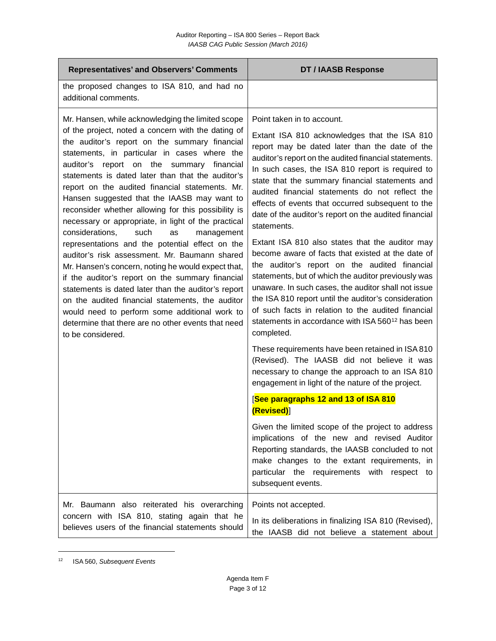| <b>Representatives' and Observers' Comments</b>                                                                                                                                                                                                                                                                                                                                                                                                                                                                                                                                                                                                                                                                                                                                                                                                                                                                                                                                                           | <b>DT / IAASB Response</b>                                                                                                                                                                                                                                                                                                                                                                                                                                                                                                                                                                                                                                                                                                                                                                                                                                                                                                                      |
|-----------------------------------------------------------------------------------------------------------------------------------------------------------------------------------------------------------------------------------------------------------------------------------------------------------------------------------------------------------------------------------------------------------------------------------------------------------------------------------------------------------------------------------------------------------------------------------------------------------------------------------------------------------------------------------------------------------------------------------------------------------------------------------------------------------------------------------------------------------------------------------------------------------------------------------------------------------------------------------------------------------|-------------------------------------------------------------------------------------------------------------------------------------------------------------------------------------------------------------------------------------------------------------------------------------------------------------------------------------------------------------------------------------------------------------------------------------------------------------------------------------------------------------------------------------------------------------------------------------------------------------------------------------------------------------------------------------------------------------------------------------------------------------------------------------------------------------------------------------------------------------------------------------------------------------------------------------------------|
| the proposed changes to ISA 810, and had no<br>additional comments.                                                                                                                                                                                                                                                                                                                                                                                                                                                                                                                                                                                                                                                                                                                                                                                                                                                                                                                                       |                                                                                                                                                                                                                                                                                                                                                                                                                                                                                                                                                                                                                                                                                                                                                                                                                                                                                                                                                 |
| Mr. Hansen, while acknowledging the limited scope<br>of the project, noted a concern with the dating of<br>the auditor's report on the summary financial<br>statements, in particular in cases where the<br>auditor's report on the summary financial<br>statements is dated later than that the auditor's<br>report on the audited financial statements. Mr.<br>Hansen suggested that the IAASB may want to<br>reconsider whether allowing for this possibility is<br>necessary or appropriate, in light of the practical<br>such<br>considerations,<br>as<br>management<br>representations and the potential effect on the<br>auditor's risk assessment. Mr. Baumann shared<br>Mr. Hansen's concern, noting he would expect that,<br>if the auditor's report on the summary financial<br>statements is dated later than the auditor's report<br>on the audited financial statements, the auditor<br>would need to perform some additional work to<br>determine that there are no other events that need | Point taken in to account.<br>Extant ISA 810 acknowledges that the ISA 810<br>report may be dated later than the date of the<br>auditor's report on the audited financial statements.<br>In such cases, the ISA 810 report is required to<br>state that the summary financial statements and<br>audited financial statements do not reflect the<br>effects of events that occurred subsequent to the<br>date of the auditor's report on the audited financial<br>statements.<br>Extant ISA 810 also states that the auditor may<br>become aware of facts that existed at the date of<br>the auditor's report on the audited financial<br>statements, but of which the auditor previously was<br>unaware. In such cases, the auditor shall not issue<br>the ISA 810 report until the auditor's consideration<br>of such facts in relation to the audited financial<br>statements in accordance with ISA 560 <sup>12</sup> has been<br>completed. |
|                                                                                                                                                                                                                                                                                                                                                                                                                                                                                                                                                                                                                                                                                                                                                                                                                                                                                                                                                                                                           | These requirements have been retained in ISA 810<br>(Revised). The IAASB did not believe it was<br>necessary to change the approach to an ISA 810<br>engagement in light of the nature of the project.                                                                                                                                                                                                                                                                                                                                                                                                                                                                                                                                                                                                                                                                                                                                          |
|                                                                                                                                                                                                                                                                                                                                                                                                                                                                                                                                                                                                                                                                                                                                                                                                                                                                                                                                                                                                           | [See paragraphs 12 and 13 of ISA 810<br>(Revised)                                                                                                                                                                                                                                                                                                                                                                                                                                                                                                                                                                                                                                                                                                                                                                                                                                                                                               |
|                                                                                                                                                                                                                                                                                                                                                                                                                                                                                                                                                                                                                                                                                                                                                                                                                                                                                                                                                                                                           | Given the limited scope of the project to address<br>implications of the new and revised Auditor<br>Reporting standards, the IAASB concluded to not<br>make changes to the extant requirements, in<br>particular the requirements with respect to<br>subsequent events.                                                                                                                                                                                                                                                                                                                                                                                                                                                                                                                                                                                                                                                                         |
| Mr. Baumann also reiterated his overarching<br>concern with ISA 810, stating again that he<br>believes users of the financial statements should                                                                                                                                                                                                                                                                                                                                                                                                                                                                                                                                                                                                                                                                                                                                                                                                                                                           | Points not accepted.<br>In its deliberations in finalizing ISA 810 (Revised),<br>the IAASB did not believe a statement about                                                                                                                                                                                                                                                                                                                                                                                                                                                                                                                                                                                                                                                                                                                                                                                                                    |

<span id="page-2-0"></span><sup>12</sup> ISA 560, *Subsequent Events*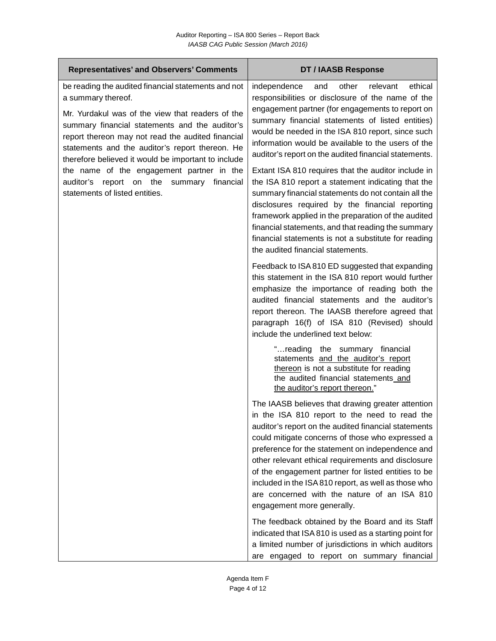| <b>Representatives' and Observers' Comments</b>                                                                                                                                                                                                                                                                                                                                                                                                                               | <b>DT / IAASB Response</b>                                                                                                                                                                                                                                                                                                                                                                                                                                                                                                                                                                                                                                                                                                                                                                                            |
|-------------------------------------------------------------------------------------------------------------------------------------------------------------------------------------------------------------------------------------------------------------------------------------------------------------------------------------------------------------------------------------------------------------------------------------------------------------------------------|-----------------------------------------------------------------------------------------------------------------------------------------------------------------------------------------------------------------------------------------------------------------------------------------------------------------------------------------------------------------------------------------------------------------------------------------------------------------------------------------------------------------------------------------------------------------------------------------------------------------------------------------------------------------------------------------------------------------------------------------------------------------------------------------------------------------------|
| be reading the audited financial statements and not<br>a summary thereof.<br>Mr. Yurdakul was of the view that readers of the<br>summary financial statements and the auditor's<br>report thereon may not read the audited financial<br>statements and the auditor's report thereon. He<br>therefore believed it would be important to include<br>the name of the engagement partner in the<br>auditor's report on the summary<br>financial<br>statements of listed entities. | other<br>relevant<br>ethical<br>independence<br>and<br>responsibilities or disclosure of the name of the<br>engagement partner (for engagements to report on<br>summary financial statements of listed entities)<br>would be needed in the ISA 810 report, since such<br>information would be available to the users of the<br>auditor's report on the audited financial statements.<br>Extant ISA 810 requires that the auditor include in<br>the ISA 810 report a statement indicating that the<br>summary financial statements do not contain all the<br>disclosures required by the financial reporting<br>framework applied in the preparation of the audited<br>financial statements, and that reading the summary<br>financial statements is not a substitute for reading<br>the audited financial statements. |
|                                                                                                                                                                                                                                                                                                                                                                                                                                                                               | Feedback to ISA 810 ED suggested that expanding<br>this statement in the ISA 810 report would further<br>emphasize the importance of reading both the<br>audited financial statements and the auditor's<br>report thereon. The IAASB therefore agreed that<br>paragraph 16(f) of ISA 810 (Revised) should<br>include the underlined text below:<br>"reading the summary financial<br>statements and the auditor's report<br>thereon is not a substitute for reading<br>the audited financial statements and<br>the auditor's report thereon."                                                                                                                                                                                                                                                                         |
|                                                                                                                                                                                                                                                                                                                                                                                                                                                                               | The IAASB believes that drawing greater attention<br>in the ISA 810 report to the need to read the<br>auditor's report on the audited financial statements<br>could mitigate concerns of those who expressed a<br>preference for the statement on independence and<br>other relevant ethical requirements and disclosure<br>of the engagement partner for listed entities to be<br>included in the ISA 810 report, as well as those who<br>are concerned with the nature of an ISA 810<br>engagement more generally.<br>The feedback obtained by the Board and its Staff<br>indicated that ISA 810 is used as a starting point for<br>a limited number of jurisdictions in which auditors<br>are engaged to report on summary financial                                                                               |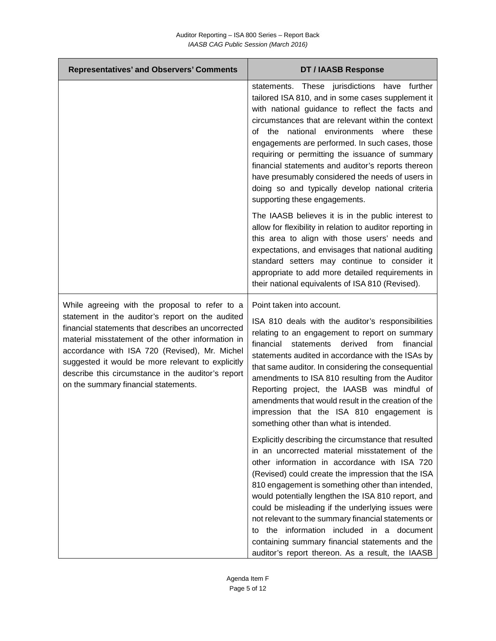| <b>Representatives' and Observers' Comments</b>                                                                                                                                                                                                                                                                                                                 | <b>DT / IAASB Response</b>                                                                                                                                                                                                                                                                                                                                                                                                                                                                                                                                  |
|-----------------------------------------------------------------------------------------------------------------------------------------------------------------------------------------------------------------------------------------------------------------------------------------------------------------------------------------------------------------|-------------------------------------------------------------------------------------------------------------------------------------------------------------------------------------------------------------------------------------------------------------------------------------------------------------------------------------------------------------------------------------------------------------------------------------------------------------------------------------------------------------------------------------------------------------|
|                                                                                                                                                                                                                                                                                                                                                                 | statements. These jurisdictions have further<br>tailored ISA 810, and in some cases supplement it<br>with national guidance to reflect the facts and<br>circumstances that are relevant within the context<br>of the national environments where these<br>engagements are performed. In such cases, those<br>requiring or permitting the issuance of summary<br>financial statements and auditor's reports thereon<br>have presumably considered the needs of users in<br>doing so and typically develop national criteria<br>supporting these engagements. |
|                                                                                                                                                                                                                                                                                                                                                                 | The IAASB believes it is in the public interest to<br>allow for flexibility in relation to auditor reporting in<br>this area to align with those users' needs and<br>expectations, and envisages that national auditing<br>standard setters may continue to consider it<br>appropriate to add more detailed requirements in<br>their national equivalents of ISA 810 (Revised).                                                                                                                                                                             |
| While agreeing with the proposal to refer to a                                                                                                                                                                                                                                                                                                                  | Point taken into account.                                                                                                                                                                                                                                                                                                                                                                                                                                                                                                                                   |
| statement in the auditor's report on the audited<br>financial statements that describes an uncorrected<br>material misstatement of the other information in<br>accordance with ISA 720 (Revised), Mr. Michel<br>suggested it would be more relevant to explicitly<br>describe this circumstance in the auditor's report<br>on the summary financial statements. | ISA 810 deals with the auditor's responsibilities<br>relating to an engagement to report on summary<br>financial<br>financial<br>statements<br>derived<br>from<br>statements audited in accordance with the ISAs by<br>that same auditor. In considering the consequential<br>amendments to ISA 810 resulting from the Auditor<br>Reporting project, the IAASB was mindful of<br>amendments that would result in the creation of the<br>impression that the ISA 810 engagement is<br>something other than what is intended.                                 |
|                                                                                                                                                                                                                                                                                                                                                                 | Explicitly describing the circumstance that resulted<br>in an uncorrected material misstatement of the<br>other information in accordance with ISA 720<br>(Revised) could create the impression that the ISA<br>810 engagement is something other than intended,<br>would potentially lengthen the ISA 810 report, and                                                                                                                                                                                                                                      |
|                                                                                                                                                                                                                                                                                                                                                                 | could be misleading if the underlying issues were<br>not relevant to the summary financial statements or<br>the information included in a document<br>to                                                                                                                                                                                                                                                                                                                                                                                                    |
|                                                                                                                                                                                                                                                                                                                                                                 | containing summary financial statements and the<br>auditor's report thereon. As a result, the IAASB                                                                                                                                                                                                                                                                                                                                                                                                                                                         |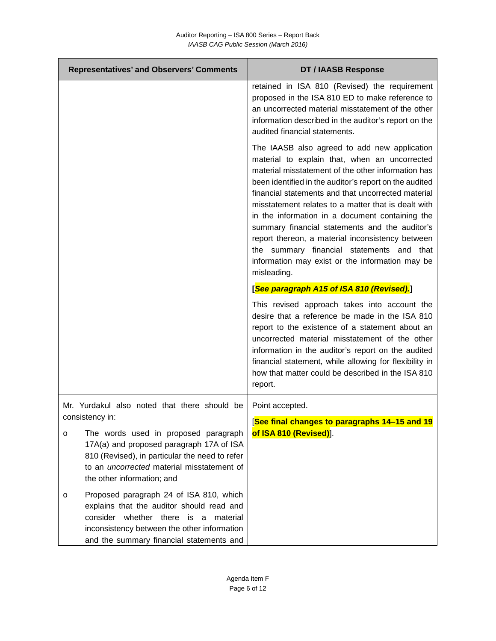| <b>Representatives' and Observers' Comments</b>                                                                                                                                                                                               | <b>DT / IAASB Response</b>                                                                                                                                                                                                                                                                                                                                                                                                                                                                                                                                                                         |
|-----------------------------------------------------------------------------------------------------------------------------------------------------------------------------------------------------------------------------------------------|----------------------------------------------------------------------------------------------------------------------------------------------------------------------------------------------------------------------------------------------------------------------------------------------------------------------------------------------------------------------------------------------------------------------------------------------------------------------------------------------------------------------------------------------------------------------------------------------------|
|                                                                                                                                                                                                                                               | retained in ISA 810 (Revised) the requirement<br>proposed in the ISA 810 ED to make reference to<br>an uncorrected material misstatement of the other<br>information described in the auditor's report on the<br>audited financial statements.                                                                                                                                                                                                                                                                                                                                                     |
|                                                                                                                                                                                                                                               | The IAASB also agreed to add new application<br>material to explain that, when an uncorrected<br>material misstatement of the other information has<br>been identified in the auditor's report on the audited<br>financial statements and that uncorrected material<br>misstatement relates to a matter that is dealt with<br>in the information in a document containing the<br>summary financial statements and the auditor's<br>report thereon, a material inconsistency between<br>the summary financial statements and that<br>information may exist or the information may be<br>misleading. |
|                                                                                                                                                                                                                                               | [See paragraph A15 of ISA 810 (Revised).]                                                                                                                                                                                                                                                                                                                                                                                                                                                                                                                                                          |
|                                                                                                                                                                                                                                               | This revised approach takes into account the<br>desire that a reference be made in the ISA 810<br>report to the existence of a statement about an<br>uncorrected material misstatement of the other<br>information in the auditor's report on the audited<br>financial statement, while allowing for flexibility in<br>how that matter could be described in the ISA 810<br>report.                                                                                                                                                                                                                |
| Mr. Yurdakul also noted that there should be                                                                                                                                                                                                  | Point accepted.                                                                                                                                                                                                                                                                                                                                                                                                                                                                                                                                                                                    |
| consistency in:<br>The words used in proposed paragraph<br>O<br>17A(a) and proposed paragraph 17A of ISA<br>810 (Revised), in particular the need to refer<br>to an <i>uncorrected</i> material misstatement of<br>the other information; and | <b>See final changes to paragraphs 14–15 and 19</b><br>of ISA 810 (Revised)].                                                                                                                                                                                                                                                                                                                                                                                                                                                                                                                      |
| Proposed paragraph 24 of ISA 810, which<br>O<br>explains that the auditor should read and<br>consider<br>whether there is a<br>material<br>inconsistency between the other information<br>and the summary financial statements and            |                                                                                                                                                                                                                                                                                                                                                                                                                                                                                                                                                                                                    |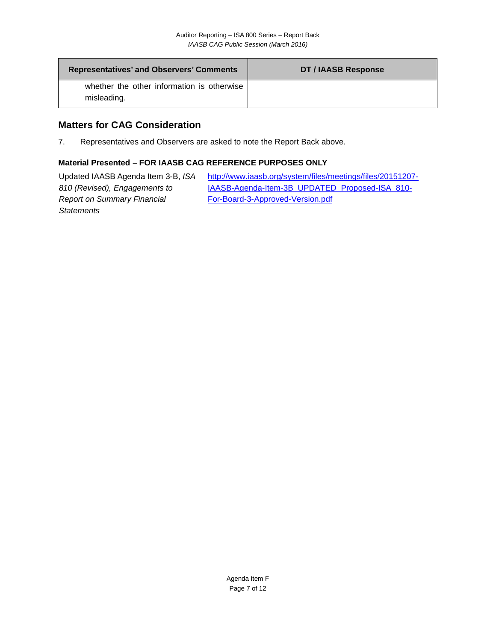| <b>Representatives' and Observers' Comments</b>           | DT / IAASB Response |
|-----------------------------------------------------------|---------------------|
| whether the other information is otherwise<br>misleading. |                     |

### **Matters for CAG Consideration**

7. Representatives and Observers are asked to note the Report Back above.

#### **Material Presented – FOR IAASB CAG REFERENCE PURPOSES ONLY**

Updated IAASB Agenda Item 3-B, *ISA 810 (Revised), Engagements to Report on Summary Financial Statements* [http://www.iaasb.org/system/files/meetings/files/20151207-](http://www.iaasb.org/system/files/meetings/files/20151207-IAASB-Agenda-Item-3B_UPDATED_Proposed-ISA_810-For-Board-3-Approved-Version.pdf) [IAASB-Agenda-Item-3B\\_UPDATED\\_Proposed-ISA\\_810-](http://www.iaasb.org/system/files/meetings/files/20151207-IAASB-Agenda-Item-3B_UPDATED_Proposed-ISA_810-For-Board-3-Approved-Version.pdf) [For-Board-3-Approved-Version.pdf](http://www.iaasb.org/system/files/meetings/files/20151207-IAASB-Agenda-Item-3B_UPDATED_Proposed-ISA_810-For-Board-3-Approved-Version.pdf)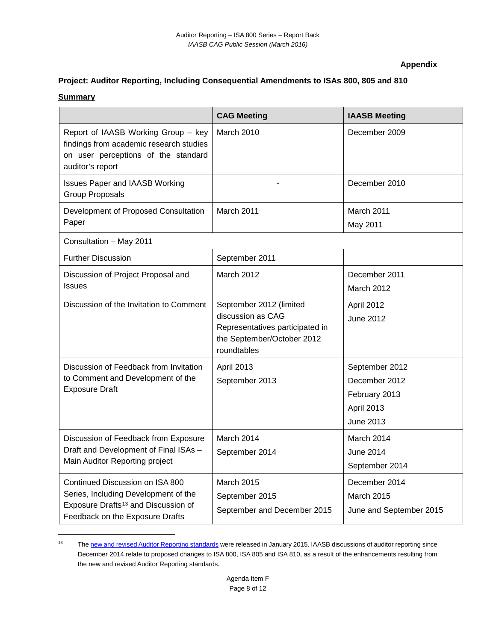#### **Appendix**

### **Project: Auditor Reporting, Including Consequential Amendments to ISAs 800, 805 and 810**

#### **Summary**

|                                                                                                                                                               | <b>CAG Meeting</b>                                                                                                           | <b>IAASB Meeting</b>                                                               |
|---------------------------------------------------------------------------------------------------------------------------------------------------------------|------------------------------------------------------------------------------------------------------------------------------|------------------------------------------------------------------------------------|
| Report of IAASB Working Group - key<br>findings from academic research studies<br>on user perceptions of the standard<br>auditor's report                     | March 2010                                                                                                                   | December 2009                                                                      |
| <b>Issues Paper and IAASB Working</b><br><b>Group Proposals</b>                                                                                               |                                                                                                                              | December 2010                                                                      |
| Development of Proposed Consultation<br>Paper                                                                                                                 | March 2011                                                                                                                   | March 2011<br>May 2011                                                             |
| Consultation - May 2011                                                                                                                                       |                                                                                                                              |                                                                                    |
| <b>Further Discussion</b>                                                                                                                                     | September 2011                                                                                                               |                                                                                    |
| Discussion of Project Proposal and<br><b>Issues</b>                                                                                                           | March 2012                                                                                                                   | December 2011<br>March 2012                                                        |
| Discussion of the Invitation to Comment                                                                                                                       | September 2012 (limited<br>discussion as CAG<br>Representatives participated in<br>the September/October 2012<br>roundtables | April 2012<br><b>June 2012</b>                                                     |
| Discussion of Feedback from Invitation<br>to Comment and Development of the<br><b>Exposure Draft</b>                                                          | April 2013<br>September 2013                                                                                                 | September 2012<br>December 2012<br>February 2013<br>April 2013<br><b>June 2013</b> |
| Discussion of Feedback from Exposure<br>Draft and Development of Final ISAs -<br>Main Auditor Reporting project                                               | March 2014<br>September 2014                                                                                                 | March 2014<br>June 2014<br>September 2014                                          |
| Continued Discussion on ISA 800<br>Series, Including Development of the<br>Exposure Drafts <sup>13</sup> and Discussion of<br>Feedback on the Exposure Drafts | March 2015<br>September 2015<br>September and December 2015                                                                  | December 2014<br><b>March 2015</b><br>June and September 2015                      |

<span id="page-7-0"></span><sup>&</sup>lt;sup>13</sup> Th[e new and revised Auditor Reporting standards](http://www.iaasb.org/new-auditors-report) were released in January 2015. IAASB discussions of auditor reporting since December 2014 relate to proposed changes to ISA 800, ISA 805 and ISA 810, as a result of the enhancements resulting from the new and revised Auditor Reporting standards.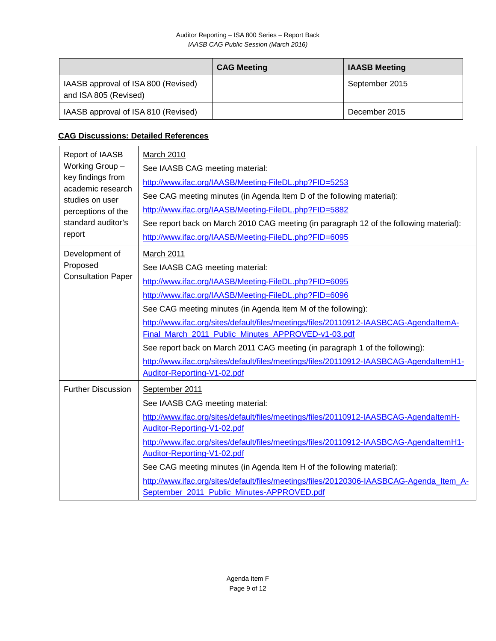|                                                              | <b>CAG Meeting</b> | <b>IAASB Meeting</b> |
|--------------------------------------------------------------|--------------------|----------------------|
| IAASB approval of ISA 800 (Revised)<br>and ISA 805 (Revised) |                    | September 2015       |
| IAASB approval of ISA 810 (Revised)                          |                    | December 2015        |

# **CAG Discussions: Detailed References**

| Report of IAASB<br>Working Group-<br>key findings from<br>academic research<br>studies on user<br>perceptions of the<br>standard auditor's<br>report | March 2010<br>See IAASB CAG meeting material:<br>http://www.ifac.org/IAASB/Meeting-FileDL.php?FID=5253<br>See CAG meeting minutes (in Agenda Item D of the following material):<br>http://www.ifac.org/IAASB/Meeting-FileDL.php?FID=5882<br>See report back on March 2010 CAG meeting (in paragraph 12 of the following material):<br>http://www.ifac.org/IAASB/Meeting-FileDL.php?FID=6095                                                                                                                                                                                             |
|------------------------------------------------------------------------------------------------------------------------------------------------------|-----------------------------------------------------------------------------------------------------------------------------------------------------------------------------------------------------------------------------------------------------------------------------------------------------------------------------------------------------------------------------------------------------------------------------------------------------------------------------------------------------------------------------------------------------------------------------------------|
| Development of<br>Proposed<br><b>Consultation Paper</b>                                                                                              | March 2011<br>See IAASB CAG meeting material:<br>http://www.ifac.org/IAASB/Meeting-FileDL.php?FID=6095<br>http://www.ifac.org/IAASB/Meeting-FileDL.php?FID=6096<br>See CAG meeting minutes (in Agenda Item M of the following):<br>http://www.ifac.org/sites/default/files/meetings/files/20110912-IAASBCAG-AgendaltemA-<br>Final_March_2011_Public_Minutes_APPROVED-v1-03.pdf<br>See report back on March 2011 CAG meeting (in paragraph 1 of the following):<br>http://www.ifac.org/sites/default/files/meetings/files/20110912-IAASBCAG-AgendaltemH1-<br>Auditor-Reporting-V1-02.pdf |
| <b>Further Discussion</b>                                                                                                                            | September 2011<br>See IAASB CAG meeting material:<br>http://www.ifac.org/sites/default/files/meetings/files/20110912-IAASBCAG-AgendaltemH-<br>Auditor-Reporting-V1-02.pdf<br>http://www.ifac.org/sites/default/files/meetings/files/20110912-IAASBCAG-AgendaltemH1-<br>Auditor-Reporting-V1-02.pdf<br>See CAG meeting minutes (in Agenda Item H of the following material):<br>http://www.ifac.org/sites/default/files/meetings/files/20120306-IAASBCAG-Agenda_Item_A-<br>September_2011_Public_Minutes-APPROVED.pdf                                                                    |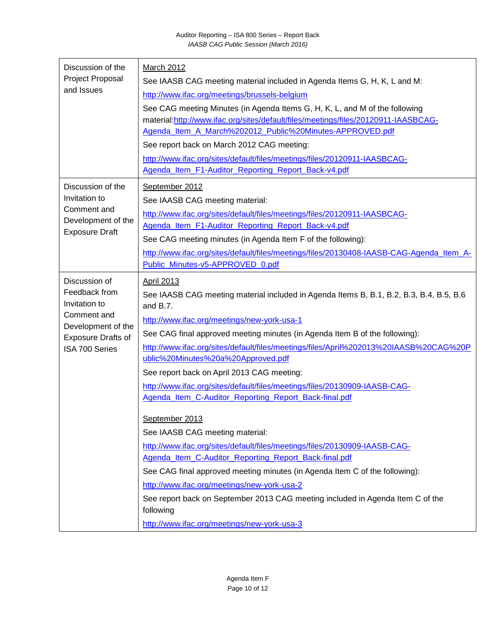| Discussion of the<br>Project Proposal<br>and Issues                                                                                 | March 2012<br>See IAASB CAG meeting material included in Agenda Items G, H, K, L and M:<br>http://www.ifac.org/meetings/brussels-belgium<br>See CAG meeting Minutes (in Agenda Items G, H, K, L, and M of the following<br>material:http://www.ifac.org/sites/default/files/meetings/files/20120911-IAASBCAG-<br>Agenda_Item_A_March%202012_Public%20Minutes-APPROVED.pdf<br>See report back on March 2012 CAG meeting:<br>http://www.ifac.org/sites/default/files/meetings/files/20120911-IAASBCAG-<br>Agenda_Item_F1-Auditor_Reporting_Report_Back-v4.pdf                                                                                                                                                                                                                                                                                                                                                                                                                                                                                        |
|-------------------------------------------------------------------------------------------------------------------------------------|----------------------------------------------------------------------------------------------------------------------------------------------------------------------------------------------------------------------------------------------------------------------------------------------------------------------------------------------------------------------------------------------------------------------------------------------------------------------------------------------------------------------------------------------------------------------------------------------------------------------------------------------------------------------------------------------------------------------------------------------------------------------------------------------------------------------------------------------------------------------------------------------------------------------------------------------------------------------------------------------------------------------------------------------------|
| Discussion of the<br>Invitation to<br>Comment and<br>Development of the<br><b>Exposure Draft</b>                                    | September 2012<br>See IAASB CAG meeting material:<br>http://www.ifac.org/sites/default/files/meetings/files/20120911-IAASBCAG-<br>Agenda_Item_F1-Auditor_Reporting_Report_Back-v4.pdf<br>See CAG meeting minutes (in Agenda Item F of the following):<br>http://www.ifac.org/sites/default/files/meetings/files/20130408-IAASB-CAG-Agenda_Item_A-<br>Public_Minutes-v5-APPROVED_0.pdf                                                                                                                                                                                                                                                                                                                                                                                                                                                                                                                                                                                                                                                              |
| Discussion of<br>Feedback from<br>Invitation to<br>Comment and<br>Development of the<br><b>Exposure Drafts of</b><br>ISA 700 Series | <b>April 2013</b><br>See IAASB CAG meeting material included in Agenda Items B, B.1, B.2, B.3, B.4, B.5, B.6<br>and B.7.<br>http://www.ifac.org/meetings/new-york-usa-1<br>See CAG final approved meeting minutes (in Agenda Item B of the following):<br>http://www.ifac.org/sites/default/files/meetings/files/April%202013%20IAASB%20CAG%20P<br>ublic%20Minutes%20a%20Approved.pdf<br>See report back on April 2013 CAG meeting:<br>http://www.ifac.org/sites/default/files/meetings/files/20130909-IAASB-CAG-<br>Agenda_Item_C-Auditor_Reporting_Report_Back-final.pdf<br>September 2013<br>See IAASB CAG meeting material:<br>http://www.ifac.org/sites/default/files/meetings/files/20130909-IAASB-CAG-<br>Agenda_Item_C-Auditor_Reporting_Report_Back-final.pdf<br>See CAG final approved meeting minutes (in Agenda Item C of the following):<br>http://www.ifac.org/meetings/new-york-usa-2<br>See report back on September 2013 CAG meeting included in Agenda Item C of the<br>following<br>http://www.ifac.org/meetings/new-york-usa-3 |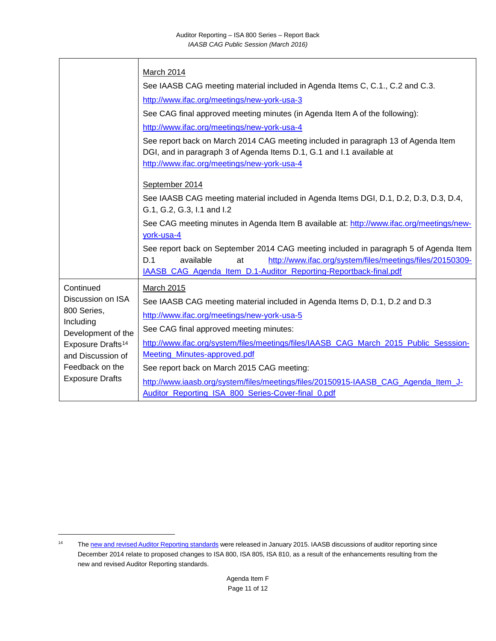|                                 | <b>March 2014</b>                                                                                                                                                                                         |
|---------------------------------|-----------------------------------------------------------------------------------------------------------------------------------------------------------------------------------------------------------|
|                                 | See IAASB CAG meeting material included in Agenda Items C, C.1., C.2 and C.3.                                                                                                                             |
|                                 | http://www.ifac.org/meetings/new-york-usa-3                                                                                                                                                               |
|                                 | See CAG final approved meeting minutes (in Agenda Item A of the following):                                                                                                                               |
|                                 | http://www.ifac.org/meetings/new-york-usa-4                                                                                                                                                               |
|                                 | See report back on March 2014 CAG meeting included in paragraph 13 of Agenda Item<br>DGI, and in paragraph 3 of Agenda Items D.1, G.1 and I.1 available at<br>http://www.ifac.org/meetings/new-york-usa-4 |
|                                 | September 2014                                                                                                                                                                                            |
|                                 | See IAASB CAG meeting material included in Agenda Items DGI, D.1, D.2, D.3, D.3, D.4,<br>G.1, G.2, G.3, I.1 and I.2                                                                                       |
|                                 | See CAG meeting minutes in Agenda Item B available at: http://www.ifac.org/meetings/new-<br>york-usa-4                                                                                                    |
|                                 | See report back on September 2014 CAG meeting included in paragraph 5 of Agenda Item<br>http://www.ifac.org/system/files/meetings/files/20150309-<br>D.1<br>available<br>at                               |
|                                 | IAASB_CAG_Agenda_Item_D.1-Auditor_Reporting-Reportback-final.pdf                                                                                                                                          |
| Continued                       | March 2015                                                                                                                                                                                                |
| Discussion on ISA               | See IAASB CAG meeting material included in Agenda Items D, D.1, D.2 and D.3                                                                                                                               |
| 800 Series,                     | http://www.ifac.org/meetings/new-york-usa-5                                                                                                                                                               |
| Including<br>Development of the | See CAG final approved meeting minutes:                                                                                                                                                                   |
| Exposure Drafts <sup>14</sup>   | http://www.ifac.org/system/files/meetings/files/IAASB_CAG_March_2015_Public_Sesssion-                                                                                                                     |
| and Discussion of               | Meeting_Minutes-approved.pdf                                                                                                                                                                              |
| Feedback on the                 | See report back on March 2015 CAG meeting:                                                                                                                                                                |
| <b>Exposure Drafts</b>          | http://www.iaasb.org/system/files/meetings/files/20150915-IAASB_CAG_Agenda_Item_J-                                                                                                                        |
|                                 | Auditor_Reporting_ISA_800_Series-Cover-final_0.pdf                                                                                                                                                        |

<span id="page-10-0"></span><sup>&</sup>lt;sup>14</sup> Th[e new and revised Auditor Reporting standards](http://www.iaasb.org/new-auditors-report) were released in January 2015. IAASB discussions of auditor reporting since December 2014 relate to proposed changes to ISA 800, ISA 805, ISA 810, as a result of the enhancements resulting from the new and revised Auditor Reporting standards.